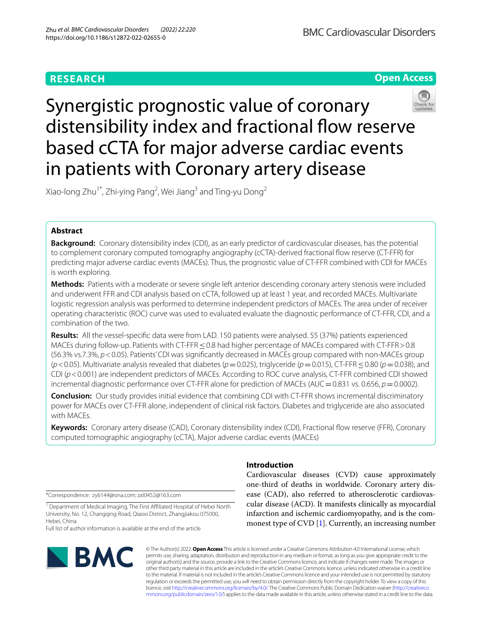# **RESEARCH**



# Synergistic prognostic value of coronary distensibility index and fractional flow reserve based cCTA for major adverse cardiac events in patients with Coronary artery disease

Xiao-long Zhu $^1^\ast$ , Zhi-ying Pang<sup>2</sup>, Wei Jiang $^3$  and Ting-yu Dong $^2$ 

# **Abstract**

**Background:** Coronary distensibility index (CDI), as an early predictor of cardiovascular diseases, has the potential to complement coronary computed tomography angiography (cCTA)-derived fractional fow reserve (CT-FFR) for predicting major adverse cardiac events (MACEs). Thus, the prognostic value of CT-FFR combined with CDI for MACEs is worth exploring.

**Methods:** Patients with a moderate or severe single left anterior descending coronary artery stenosis were included and underwent FFR and CDI analysis based on cCTA, followed up at least 1 year, and recorded MACEs. Multivariate logistic regression analysis was performed to determine independent predictors of MACEs. The area under of receiver operating characteristic (ROC) curve was used to evaluated evaluate the diagnostic performance of CT-FFR, CDI, and a combination of the two.

**Results:** All the vessel-specifc data were from LAD. 150 patients were analysed. 55 (37%) patients experienced MACEs during follow-up. Patients with CT-FFR < 0.8 had higher percentage of MACEs compared with CT-FFR > 0.8 (56.3% vs.7.3%, *p*<0.05). Patients' CDI was signifcantly decreased in MACEs group compared with non-MACEs group (*p*<0.05). Multivariate analysis revealed that diabetes (*p*=0.025), triglyceride (*p*=0.015), CT-FFR≤0.80 (*p*=0.038), and CDI (*p*<0.001) are independent predictors of MACEs. According to ROC curve analysis, CT-FFR combined CDI showed incremental diagnostic performance over CT-FFR alone for prediction of MACEs ( $AUC = 0.831$  vs. 0.656,  $p = 0.0002$ ).

**Conclusion:** Our study provides initial evidence that combining CDI with CT-FFR shows incremental discriminatory power for MACEs over CT-FFR alone, independent of clinical risk factors. Diabetes and triglyceride are also associated with MACEs.

**Keywords:** Coronary artery disease (CAD), Coronary distensibility index (CDI), Fractional fow reserve (FFR), Coronary computed tomographic angiography (cCTA), Major adverse cardiac events (MACEs)

\*Correspondence: zy6144@sina.com; zxl0452@163.com

<sup>1</sup> Department of Medical Imaging, The First Affiliated Hospital of Hebei North University, No. 12, Changqing Road, Qiaoxi District, Zhangjiakou 075000, Hebei, China

Full list of author information is available at the end of the article



# **Introduction**

Cardiovascular diseases (CVD) cause approximately one-third of deaths in worldwide. Coronary artery disease (CAD), also referred to atherosclerotic cardiovascular disease (ACD). It manifests clinically as myocardial infarction and ischemic cardiomyopathy, and is the commonest type of CVD [\[1\]](#page-7-0). Currently, an increasing number

© The Author(s) 2022. **Open Access** This article is licensed under a Creative Commons Attribution 4.0 International License, which permits use, sharing, adaptation, distribution and reproduction in any medium or format, as long as you give appropriate credit to the original author(s) and the source, provide a link to the Creative Commons licence, and indicate if changes were made. The images or other third party material in this article are included in the article's Creative Commons licence, unless indicated otherwise in a credit line to the material. If material is not included in the article's Creative Commons licence and your intended use is not permitted by statutory regulation or exceeds the permitted use, you will need to obtain permission directly from the copyright holder. To view a copy of this licence, visit [http://creativecommons.org/licenses/by/4.0/.](http://creativecommons.org/licenses/by/4.0/) The Creative Commons Public Domain Dedication waiver ([http://creativeco](http://creativecommons.org/publicdomain/zero/1.0/) [mmons.org/publicdomain/zero/1.0/](http://creativecommons.org/publicdomain/zero/1.0/)) applies to the data made available in this article, unless otherwise stated in a credit line to the data.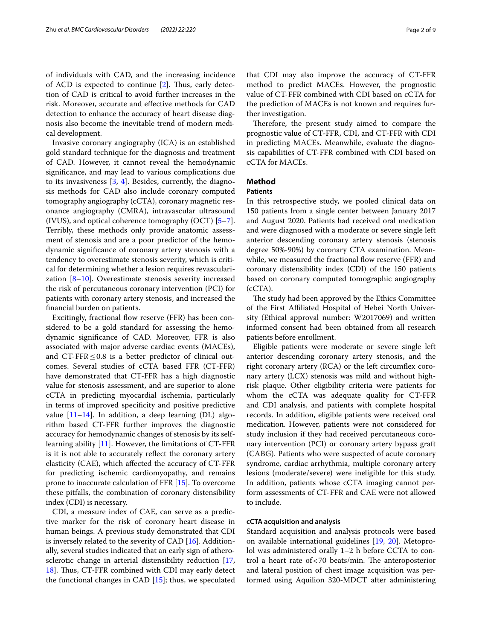of individuals with CAD, and the increasing incidence of ACD is expected to continue  $[2]$  $[2]$ . Thus, early detection of CAD is critical to avoid further increases in the risk. Moreover, accurate and efective methods for CAD detection to enhance the accuracy of heart disease diagnosis also become the inevitable trend of modern medical development.

Invasive coronary angiography (ICA) is an established gold standard technique for the diagnosis and treatment of CAD. However, it cannot reveal the hemodynamic signifcance, and may lead to various complications due to its invasiveness  $[3, 4]$  $[3, 4]$  $[3, 4]$  $[3, 4]$  $[3, 4]$ . Besides, currently, the diagnosis methods for CAD also include coronary computed tomography angiography (cCTA), coronary magnetic resonance angiography (CMRA), intravascular ultrasound (IVUS), and optical coherence tomography (OCT) [\[5](#page-7-4)[–7](#page-7-5)]. Terribly, these methods only provide anatomic assessment of stenosis and are a poor predictor of the hemodynamic signifcance of coronary artery stenosis with a tendency to overestimate stenosis severity, which is critical for determining whether a lesion requires revascularization [\[8](#page-7-6)[–10](#page-7-7)]. Overestimate stenosis severity increased the risk of percutaneous coronary intervention (PCI) for patients with coronary artery stenosis, and increased the fnancial burden on patients.

Excitingly, fractional flow reserve (FFR) has been considered to be a gold standard for assessing the hemodynamic signifcance of CAD. Moreover, FFR is also associated with major adverse cardiac events (MACEs), and CT-FFR $\leq$ 0.8 is a better predictor of clinical outcomes. Several studies of cCTA based FFR (CT-FFR) have demonstrated that CT-FFR has a high diagnostic value for stenosis assessment, and are superior to alone cCTA in predicting myocardial ischemia, particularly in terms of improved specifcity and positive predictive value  $[11-14]$  $[11-14]$  $[11-14]$ . In addition, a deep learning (DL) algorithm based CT-FFR further improves the diagnostic accuracy for hemodynamic changes of stenosis by its selflearning ability [\[11](#page-7-8)]. However, the limitations of CT-FFR is it is not able to accurately refect the coronary artery elasticity (CAE), which afected the accuracy of CT-FFR for predicting ischemic cardiomyopathy, and remains prone to inaccurate calculation of FFR [\[15](#page-7-10)]. To overcome these pitfalls, the combination of coronary distensibility index (CDI) is necessary.

CDI, a measure index of CAE, can serve as a predictive marker for the risk of coronary heart disease in human beings. A previous study demonstrated that CDI is inversely related to the severity of  $CAD$   $[16]$  $[16]$ . Additionally, several studies indicated that an early sign of atherosclerotic change in arterial distensibility reduction [\[17](#page-7-12), [18\]](#page-7-13). Thus, CT-FFR combined with CDI may early detect the functional changes in CAD  $[15]$  $[15]$ ; thus, we speculated that CDI may also improve the accuracy of CT-FFR method to predict MACEs. However, the prognostic value of CT-FFR combined with CDI based on cCTA for the prediction of MACEs is not known and requires further investigation.

Therefore, the present study aimed to compare the prognostic value of CT-FFR, CDI, and CT-FFR with CDI in predicting MACEs. Meanwhile, evaluate the diagnosis capabilities of CT-FFR combined with CDI based on cCTA for MACEs.

# **Method**

#### **Patients**

In this retrospective study, we pooled clinical data on 150 patients from a single center between January 2017 and August 2020. Patients had received oral medication and were diagnosed with a moderate or severe single left anterior descending coronary artery stenosis (stenosis degree 50%-90%) by coronary CTA examination. Meanwhile, we measured the fractional flow reserve (FFR) and coronary distensibility index (CDI) of the 150 patients based on coronary computed tomographic angiography (cCTA).

The study had been approved by the Ethics Committee of the First Afliated Hospital of Hebei North University (Ethical approval number: W2017069) and written informed consent had been obtained from all research patients before enrollment.

Eligible patients were moderate or severe single left anterior descending coronary artery stenosis, and the right coronary artery (RCA) or the left circumfex coronary artery (LCX) stenosis was mild and without highrisk plaque. Other eligibility criteria were patients for whom the cCTA was adequate quality for CT-FFR and CDI analysis, and patients with complete hospital records. In addition, eligible patients were received oral medication. However, patients were not considered for study inclusion if they had received percutaneous coronary intervention (PCI) or coronary artery bypass graft (CABG). Patients who were suspected of acute coronary syndrome, cardiac arrhythmia, multiple coronary artery lesions (moderate/severe) were ineligible for this study. In addition, patients whose cCTA imaging cannot perform assessments of CT-FFR and CAE were not allowed to include.

# **cCTA acquisition and analysis**

Standard acquisition and analysis protocols were based on available international guidelines [[19,](#page-7-14) [20\]](#page-7-15). Metoprolol was administered orally 1–2 h before CCTA to control a heart rate of  $<$  70 beats/min. The anteroposterior and lateral position of chest image acquisition was performed using Aquilion 320-MDCT after administering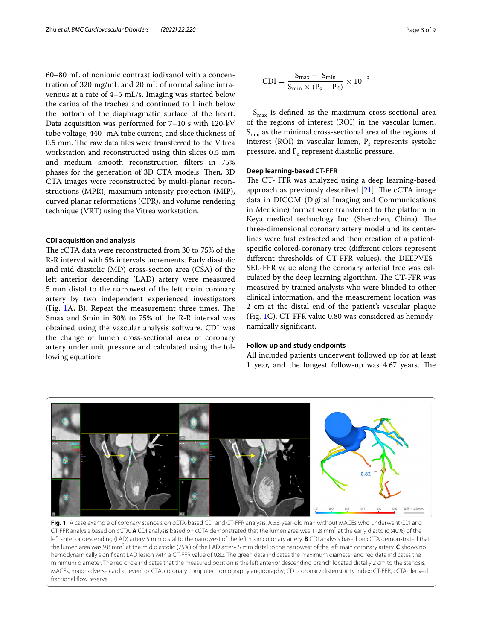60–80 mL of nonionic contrast iodixanol with a concentration of 320 mg/mL and 20 mL of normal saline intravenous at a rate of 4–5 mL/s. Imaging was started below the carina of the trachea and continued to 1 inch below the bottom of the diaphragmatic surface of the heart. Data acquisition was performed for 7–10 s with 120-kV tube voltage, 440- mA tube current, and slice thickness of 0.5 mm. The raw data files were transferred to the Vitrea workstation and reconstructed using thin slices 0.5 mm and medium smooth reconstruction flters in 75% phases for the generation of 3D CTA models. Then, 3D CTA images were reconstructed by multi-planar reconstructions (MPR), maximum intensity projection (MIP), curved planar reformations (CPR), and volume rendering technique (VRT) using the Vitrea workstation.

### **CDI acquisition and analysis**

The cCTA data were reconstructed from 30 to 75% of the R-R interval with 5% intervals increments. Early diastolic and mid diastolic (MD) cross-section area (CSA) of the left anterior descending (LAD) artery were measured 5 mm distal to the narrowest of the left main coronary artery by two independent experienced investigators (Fig.  $1A$ , B). Repeat the measurement three times. The Smax and Smin in 30% to 75% of the R-R interval was obtained using the vascular analysis software. CDI was the change of lumen cross-sectional area of coronary artery under unit pressure and calculated using the following equation:

$$
CDI = \frac{S_{max} - S_{min}}{S_{min} \times (P_s - P_d)} \times 10^{-3}
$$

 $S<sub>max</sub>$  is defined as the maximum cross-sectional area of the regions of interest (ROI) in the vascular lumen,  $S_{\text{min}}$  as the minimal cross-sectional area of the regions of interest (ROI) in vascular lumen,  $P_s$  represents systolic pressure, and  $P_d$  represent diastolic pressure.

# **Deep learning‑based CT‑FFR**

The CT- FFR was analyzed using a deep learning-based approach as previously described  $[21]$  $[21]$ . The cCTA image data in DICOM (Digital Imaging and Communications in Medicine) format were transferred to the platform in Keya medical technology Inc. (Shenzhen, China). The three-dimensional coronary artery model and its centerlines were frst extracted and then creation of a patientspecifc colored-coronary tree (diferent colors represent diferent thresholds of CT-FFR values), the DEEPVES-SEL-FFR value along the coronary arterial tree was calculated by the deep learning algorithm. The CT-FFR was measured by trained analysts who were blinded to other clinical information, and the measurement location was 2 cm at the distal end of the patient's vascular plaque (Fig. [1](#page-2-0)C). CT-FFR value 0.80 was considered as hemodynamically signifcant.

#### **Follow up and study endpoints**

All included patients underwent followed up for at least 1 year, and the longest follow-up was 4.67 years. The



<span id="page-2-0"></span>**Fig. 1** A case example of coronary stenosis on cCTA-based CDI and CT-FFR analysis. A 53-year-old man without MACEs who underwent CDI and CT-FFR analysis based on cCTA. **A** CDI analysis based on cCTA demonstrated that the lumen area was 11.8 mm<sup>2</sup> at the early diastolic (40%) of the left anterior descending (LAD) artery 5 mm distal to the narrowest of the left main coronary artery. **B** CDI analysis based on cCTA demonstrated that the lumen area was 9.8 mm<sup>2</sup> at the mid diastolic (75%) of the LAD artery 5 mm distal to the narrowest of the left main coronary artery. **C** shows no hemodynamically signifcant LAD lesion with a CT-FFR value of 0.82. The green data indicates the maximum diameter and red data indicates the minimum diameter. The red circle indicates that the measured position is the left anterior descending branch located distally 2 cm to the stenosis. MACEs, major adverse cardiac events; cCTA, coronary computed tomography angiography; CDI, coronary distensibility index; CT-FFR, cCTA-derived fractional flow reserve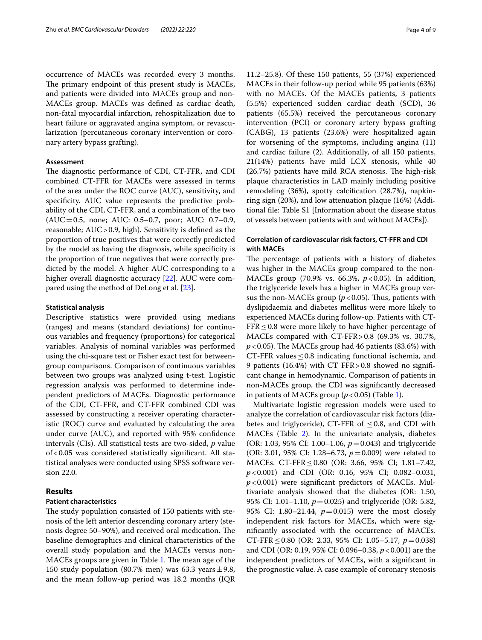occurrence of MACEs was recorded every 3 months. The primary endpoint of this present study is MACEs, and patients were divided into MACEs group and non-MACEs group. MACEs was defned as cardiac death, non-fatal myocardial infarction, rehospitalization due to heart failure or aggravated angina symptom, or revascularization (percutaneous coronary intervention or coronary artery bypass grafting).

# **Assessment**

The diagnostic performance of CDI, CT-FFR, and CDI combined CT-FFR for MACEs were assessed in terms of the area under the ROC curve (AUC), sensitivity, and specifcity. AUC value represents the predictive probability of the CDI, CT-FFR, and a combination of the two (AUC=0.5, none; AUC: 0.5–0.7, poor; AUC: 0.7–0.9, reasonable; AUC>0.9, high). Sensitivity is defned as the proportion of true positives that were correctly predicted by the model as having the diagnosis, while specifcity is the proportion of true negatives that were correctly predicted by the model. A higher AUC corresponding to a higher overall diagnostic accuracy [\[22](#page-7-17)]. AUC were compared using the method of DeLong et al. [\[23](#page-7-18)].

#### **Statistical analysis**

Descriptive statistics were provided using medians (ranges) and means (standard deviations) for continuous variables and frequency (proportions) for categorical variables. Analysis of nominal variables was performed using the chi-square test or Fisher exact test for betweengroup comparisons. Comparison of continuous variables between two groups was analyzed using t-test. Logistic regression analysis was performed to determine independent predictors of MACEs. Diagnostic performance of the CDI, CT-FFR, and CT-FFR combined CDI was assessed by constructing a receiver operating characteristic (ROC) curve and evaluated by calculating the area under curve (AUC), and reported with 95% confdence intervals (CIs). All statistical tests are two-sided, *p* value of<0.05 was considered statistically signifcant. All statistical analyses were conducted using SPSS software version 22.0.

# **Results**

### **Patient characteristics**

The study population consisted of 150 patients with stenosis of the left anterior descending coronary artery (stenosis degree 50–90%), and received oral medication. The baseline demographics and clinical characteristics of the overall study population and the MACEs versus non-MACEs groups are given in Table [1.](#page-4-0) The mean age of the 150 study population (80.7% men) was 63.3 years  $\pm$  9.8, and the mean follow-up period was 18.2 months (IQR

11.2–25.8). Of these 150 patients, 55 (37%) experienced MACEs in their follow-up period while 95 patients (63%) with no MACEs. Of the MACEs patients, 3 patients (5.5%) experienced sudden cardiac death (SCD), 36 patients (65.5%) received the percutaneous coronary intervention (PCI) or coronary artery bypass grafting (CABG), 13 patients (23.6%) were hospitalized again for worsening of the symptoms, including angina (11) and cardiac failure (2). Additionally, of all 150 patients, 21(14%) patients have mild LCX stenosis, while 40  $(26.7%)$  patients have mild RCA stenosis. The high-risk plaque characteristics in LAD mainly including positive remodeling (36%), spotty calcifcation (28.7%), napkinring sign (20%), and low attenuation plaque (16%) (Additional fle: Table S1 [Information about the disease status of vessels between patients with and without MACEs]).

# **Correlation of cardiovascular risk factors, CT‑FFR and CDI with MACEs**

The percentage of patients with a history of diabetes was higher in the MACEs group compared to the non-MACEs group (70.9% vs. 66.3%, *p*<0.05). In addition, the triglyceride levels has a higher in MACEs group versus the non-MACEs group  $(p<0.05)$ . Thus, patients with dyslipidaemia and diabetes mellitus were more likely to experienced MACEs during follow-up. Patients with CT- $FFR \leq 0.8$  were more likely to have higher percentage of MACEs compared with CT-FFR>0.8 (69.3% vs. 30.7%,  $p$  < 0.05). The MACEs group had 46 patients (83.6%) with CT-FFR values  $\leq$  0.8 indicating functional ischemia, and 9 patients (16.4%) with CT FFR>0.8 showed no signifcant change in hemodynamic. Comparison of patients in non-MACEs group, the CDI was signifcantly decreased in patients of MACEs group  $(p < 0.05)$  (Table [1](#page-4-0)).

Multivariate logistic regression models were used to analyze the correlation of cardiovascular risk factors (diabetes and triglyceride), CT-FFR of  $\leq$  0.8, and CDI with MACEs (Table [2\)](#page-4-1). In the univariate analysis, diabetes (OR: 1.03, 95% CI: 1.00–1.06, *p*=0.043) and triglyceride (OR: 3.01, 95% CI: 1.28–6.73, *p*=0.009) were related to MACEs. CT-FFR≤0.80 (OR: 3.66, 95% CI; 1.81–7.42, *p*<0.001) and CDI (OR: 0.16, 95% CI; 0.082–0.031, *p*<0.001) were signifcant predictors of MACEs. Multivariate analysis showed that the diabetes (OR: 1.50, 95% CI: 1.01–1.10, *p*=0.025) and triglyceride (OR: 5.82, 95% CI: 1.80–21.44, *p*=0.015) were the most closely independent risk factors for MACEs, which were signifcantly associated with the occurrence of MACEs. CT-FFR≤0.80 (OR: 2.33, 95% CI: 1.05–5.17, *p*=0.038) and CDI (OR: 0.19, 95% CI: 0.096–0.38, *p*<0.001) are the independent predictors of MACEs, with a signifcant in the prognostic value. A case example of coronary stenosis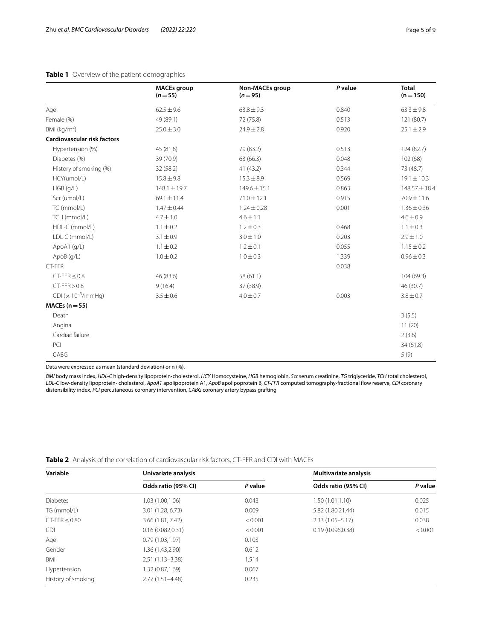# <span id="page-4-0"></span>**Table 1** Overview of the patient demographics

|                                    | <b>MACEs group</b><br>$(n=55)$ | Non-MACEs group<br>$(n=95)$ | P value | <b>Total</b><br>$(n = 150)$ |
|------------------------------------|--------------------------------|-----------------------------|---------|-----------------------------|
| Age                                | $62.5 \pm 9.6$                 | $63.8 \pm 9.3$              | 0.840   | $63.3 \pm 9.8$              |
| Female (%)                         | 49 (89.1)                      | 72 (75.8)                   | 0.513   | 121 (80.7)                  |
| BMI ( $kg/m2$ )                    | $25.0 \pm 3.0$                 | $24.9 \pm 2.8$              | 0.920   | $25.1 \pm 2.9$              |
| <b>Cardiovascular risk factors</b> |                                |                             |         |                             |
| Hypertension (%)                   | 45 (81.8)                      | 79 (83.2)                   | 0.513   | 124 (82.7)                  |
| Diabetes (%)                       | 39 (70.9)                      | 63 (66.3)                   | 0.048   | 102(68)                     |
| History of smoking (%)             | 32 (58.2)                      | 41 (43.2)                   | 0.344   | 73 (48.7)                   |
| HCY(umol/L)                        | $15.8 \pm 9.8$                 | $15.3 \pm 8.9$              | 0.569   | $19.1 \pm 10.3$             |
| HGB (g/L)                          | $148.1 \pm 19.7$               | $149.6 \pm 15.1$            | 0.863   | $148.57 \pm 18.4$           |
| Scr (umol/L)                       | $69.1 \pm 11.4$                | $71.0 \pm 12.1$             | 0.915   | 70.9±11.6                   |
| TG (mmol/L)                        | $1.47 \pm 0.44$                | $1.24 \pm 0.28$             | 0.001   | $1.36 \pm 0.36$             |
| TCH (mmol/L)                       | $4.7 \pm 1.0$                  | $4.6 \pm 1.1$               |         | $4.6 \pm 0.9$               |
| HDL-C (mmol/L)                     | $1.1 \pm 0.2$                  | $1.2 \pm 0.3$               | 0.468   | $1.1 \pm 0.3$               |
| LDL-C (mmol/L)                     | $3.1 \pm 0.9$                  | $3.0 \pm 1.0$               | 0.203   | $2.9 \pm 1.0$               |
| ApoA1 (g/L)                        | $1.1 \pm 0.2$                  | $1.2 \pm 0.1$               | 0.055   | $1.15 \pm 0.2$              |
| ApoB (g/L)                         | $1.0 \pm 0.2$                  | $1.0 \pm 0.3$               | 1.339   | $0.96 \pm 0.3$              |
| CT-FFR                             |                                |                             | 0.038   |                             |
| $CT-FFR < 0.8$                     | 46 (83.6)                      | 58 (61.1)                   |         | 104(69.3)                   |
| $CT-FFR > 0.8$                     | 9(16.4)                        | 37 (38.9)                   |         | 46 (30.7)                   |
| CDI $(x 10^{-3}/mm$ Hg)            | $3.5 \pm 0.6$                  | $4.0 \pm 0.7$               | 0.003   | $3.8 \pm 0.7$               |
| $MACEs (n=55)$                     |                                |                             |         |                             |
| Death                              |                                |                             |         | 3(5.5)                      |
| Angina                             |                                |                             |         | 11(20)                      |
| Cardiac failure                    |                                |                             |         | 2(3.6)                      |
| PCI                                |                                |                             |         | 34 (61.8)                   |
| CABG                               |                                |                             |         | 5(9)                        |

Data were expressed as mean (standard deviation) or n (%).

*BMI* body mass index, *HDL-C* high-density lipoprotein-cholesterol, *HCY* Homocysteine, *HGB* hemoglobin, *Scr* serum creatinine, *TG* triglyceride, *TCH* total cholesterol, *LDL-C* low-density lipoprotein- cholesterol, *ApoA1* apolipoprotein A1, *ApoB* apolipoprotein B, *CT-FFR* computed tomography-fractional fow reserve, *CDI* coronary distensibility index, *PCI* percutaneous coronary intervention, *CABG* coronary artery bypass grafting

<span id="page-4-1"></span>**Table 2** Analysis of the correlation of cardiovascular risk factors, CT-FFR and CDI with MACEs

| Variable           | Univariate analysis |         | <b>Multivariate analysis</b> |         |
|--------------------|---------------------|---------|------------------------------|---------|
|                    | Odds ratio (95% CI) | P value | Odds ratio (95% CI)          | P value |
| <b>Diabetes</b>    | 1.03 (1.00,1.06)    | 0.043   | 1.50 (1.01,1.10)             | 0.025   |
| TG (mmol/L)        | 3.01 (1.28, 6.73)   | 0.009   | 5.82 (1.80,21.44)            | 0.015   |
| $CT-FFR < 0.80$    | 3.66 (1.81, 7.42)   | < 0.001 | $2.33(1.05 - 5.17)$          | 0.038   |
| CDI.               | 0.16(0.082,0.31)    | < 0.001 | 0.19(0.096.0.38)             | < 0.001 |
| Age                | 0.79(1.03, 1.97)    | 0.103   |                              |         |
| Gender             | 1.36 (1.43,2.90)    | 0.612   |                              |         |
| BMI                | $2.51(1.13 - 3.38)$ | 1.514   |                              |         |
| Hypertension       | 1.32 (0.87,1.69)    | 0.067   |                              |         |
| History of smoking | $2.77(1.51 - 4.48)$ | 0.235   |                              |         |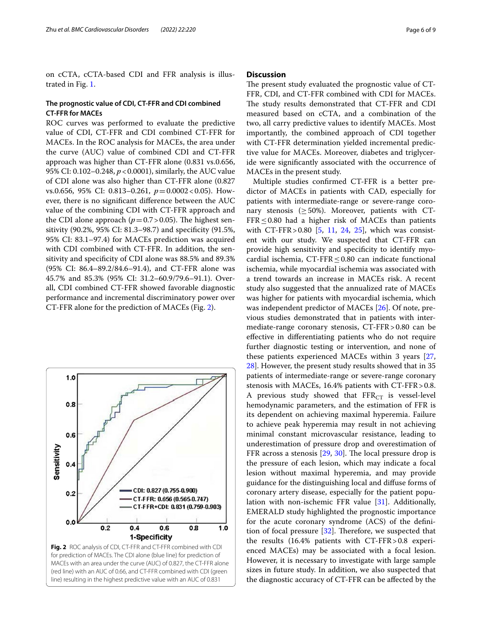on cCTA, cCTA-based CDI and FFR analysis is illustrated in Fig. [1.](#page-2-0)

### **The prognostic value of CDI, CT‑FFR and CDI combined CT‑FFR for MACEs**

ROC curves was performed to evaluate the predictive value of CDI, CT-FFR and CDI combined CT-FFR for MACEs. In the ROC analysis for MACEs, the area under the curve (AUC) value of combined CDI and CT-FFR approach was higher than CT-FFR alone (0.831 vs.0.656, 95% CI: 0.102–0.248, *p*<0.0001), similarly, the AUC value of CDI alone was also higher than CT-FFR alone (0.827 vs.0.656, 95% CI: 0.813–0.261, *p*=0.0002<0.05). However, there is no signifcant diference between the AUC value of the combining CDI with CT-FFR approach and the CDI alone approach ( $p=0.7>0.05$ ). The highest sensitivity (90.2%, 95% CI: 81.3–98.7) and specifcity (91.5%, 95% CI: 83.1–97.4) for MACEs prediction was acquired with CDI combined with CT-FFR. In addition, the sensitivity and specifcity of CDI alone was 88.5% and 89.3% (95% CI: 86.4–89.2/84.6–91.4), and CT-FFR alone was 45.7% and 85.3% (95% CI: 31.2–60.9/79.6–91.1). Overall, CDI combined CT-FFR showed favorable diagnostic performance and incremental discriminatory power over CT-FFR alone for the prediction of MACEs (Fig. [2](#page-5-0)).

<span id="page-5-0"></span>

#### **Discussion**

The present study evaluated the prognostic value of CT-FFR, CDI, and CT-FFR combined with CDI for MACEs. The study results demonstrated that CT-FFR and CDI measured based on cCTA, and a combination of the two, all carry predictive values to identify MACEs. Most importantly, the combined approach of CDI together with CT-FFR determination yielded incremental predictive value for MACEs. Moreover, diabetes and triglyceride were signifcantly associated with the occurrence of MACEs in the present study.

Multiple studies confrmed CT-FFR is a better predictor of MACEs in patients with CAD, especially for patients with intermediate-range or severe-range coronary stenosis ( $\geq$  50%). Moreover, patients with CT- $FFR \leq 0.80$  had a higher risk of MACEs than patients with CT-FFR > 0.80 [\[5,](#page-7-4) [11,](#page-7-8) [24](#page-7-19), [25\]](#page-8-0), which was consistent with our study. We suspected that CT-FFR can provide high sensitivity and specifcity to identify myocardial ischemia, CT-FFR $\leq$ 0.80 can indicate functional ischemia, while myocardial ischemia was associated with a trend towards an increase in MACEs risk. A recent study also suggested that the annualized rate of MACEs was higher for patients with myocardial ischemia, which was independent predictor of MACEs [\[26\]](#page-8-1). Of note, previous studies demonstrated that in patients with intermediate-range coronary stenosis, CT-FFR>0.80 can be efective in diferentiating patients who do not require further diagnostic testing or intervention, and none of these patients experienced MACEs within 3 years [[27](#page-8-2), [28\]](#page-8-3). However, the present study results showed that in 35 patients of intermediate-range or severe-range coronary stenosis with MACEs, 16.4% patients with CT-FFR>0.8. A previous study showed that  $\text{FFR}_{\text{CT}}$  is vessel-level hemodynamic parameters, and the estimation of FFR is its dependent on achieving maximal hyperemia. Failure to achieve peak hyperemia may result in not achieving minimal constant microvascular resistance, leading to underestimation of pressure drop and overestimation of FFR across a stenosis  $[29, 30]$  $[29, 30]$  $[29, 30]$  $[29, 30]$ . The local pressure drop is the pressure of each lesion, which may indicate a focal lesion without maximal hyperemia, and may provide guidance for the distinguishing local and difuse forms of coronary artery disease, especially for the patient population with non-ischemic FFR value [\[31](#page-8-6)]. Additionally, EMERALD study highlighted the prognostic importance for the acute coronary syndrome (ACS) of the defnition of focal pressure  $[32]$  $[32]$ . Therefore, we suspected that the results (16.4% patients with CT-FFR>0.8 experienced MACEs) may be associated with a focal lesion. However, it is necessary to investigate with large sample sizes in future study. In addition, we also suspected that the diagnostic accuracy of CT-FFR can be afected by the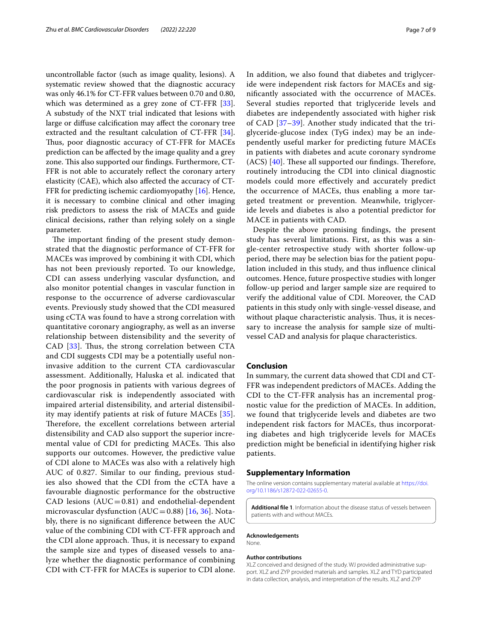uncontrollable factor (such as image quality, lesions). A systematic review showed that the diagnostic accuracy was only 46.1% for CT-FFR values between 0.70 and 0.80, which was determined as a grey zone of  $CT$ -FFR  $[33]$  $[33]$ . A substudy of the NXT trial indicated that lesions with large or difuse calcifcation may afect the coronary tree extracted and the resultant calculation of CT-FFR [\[34](#page-8-9)]. Thus, poor diagnostic accuracy of CT-FFR for MACEs prediction can be afected by the image quality and a grey zone. This also supported our findings. Furthermore, CT-FFR is not able to accurately reflect the coronary artery elasticity (CAE), which also afected the accuracy of CT-FFR for predicting ischemic cardiomyopathy [\[16](#page-7-11)]. Hence, it is necessary to combine clinical and other imaging risk predictors to assess the risk of MACEs and guide clinical decisions, rather than relying solely on a single parameter.

The important finding of the present study demonstrated that the diagnostic performance of CT-FFR for MACEs was improved by combining it with CDI, which has not been previously reported. To our knowledge, CDI can assess underlying vascular dysfunction, and also monitor potential changes in vascular function in response to the occurrence of adverse cardiovascular events. Previously study showed that the CDI measured using cCTA was found to have a strong correlation with quantitative coronary angiography, as well as an inverse relationship between distensibility and the severity of CAD  $[33]$  $[33]$ . Thus, the strong correlation between CTA and CDI suggests CDI may be a potentially useful noninvasive addition to the current CTA cardiovascular assessment. Additionally, Haluska et al. indicated that the poor prognosis in patients with various degrees of cardiovascular risk is independently associated with impaired arterial distensibility, and arterial distensibility may identify patients at risk of future MACEs [[35\]](#page-8-10). Therefore, the excellent correlations between arterial distensibility and CAD also support the superior incremental value of CDI for predicting MACEs. This also supports our outcomes. However, the predictive value of CDI alone to MACEs was also with a relatively high AUC of 0.827. Similar to our fnding, previous studies also showed that the CDI from the cCTA have a favourable diagnostic performance for the obstructive CAD lesions  $(AUC=0.81)$  and endothelial-dependent microvascular dysfunction ( $AUC=0.88$ ) [[16,](#page-7-11) [36\]](#page-8-11). Notably, there is no signifcant diference between the AUC value of the combining CDI with CT-FFR approach and the CDI alone approach. Thus, it is necessary to expand the sample size and types of diseased vessels to analyze whether the diagnostic performance of combining CDI with CT-FFR for MACEs is superior to CDI alone.

In addition, we also found that diabetes and triglyceride were independent risk factors for MACEs and signifcantly associated with the occurrence of MACEs. Several studies reported that triglyceride levels and diabetes are independently associated with higher risk of CAD [[37–](#page-8-12)[39](#page-8-13)]. Another study indicated that the triglyceride-glucose index (TyG index) may be an independently useful marker for predicting future MACEs in patients with diabetes and acute coronary syndrome  $(ACS)$   $[40]$  $[40]$ . These all supported our findings. Therefore, routinely introducing the CDI into clinical diagnostic models could more efectively and accurately predict the occurrence of MACEs, thus enabling a more targeted treatment or prevention. Meanwhile, triglyceride levels and diabetes is also a potential predictor for MACE in patients with CAD.

Despite the above promising fndings, the present study has several limitations. First, as this was a single-center retrospective study with shorter follow-up period, there may be selection bias for the patient population included in this study, and thus infuence clinical outcomes. Hence, future prospective studies with longer follow-up period and larger sample size are required to verify the additional value of CDI. Moreover, the CAD patients in this study only with single-vessel disease, and without plaque characteristic analysis. Thus, it is necessary to increase the analysis for sample size of multivessel CAD and analysis for plaque characteristics.

# **Conclusion**

In summary, the current data showed that CDI and CT-FFR was independent predictors of MACEs. Adding the CDI to the CT-FFR analysis has an incremental prognostic value for the prediction of MACEs. In addition, we found that triglyceride levels and diabetes are two independent risk factors for MACEs, thus incorporating diabetes and high triglyceride levels for MACEs prediction might be benefcial in identifying higher risk patients.

#### **Supplementary Information**

The online version contains supplementary material available at [https://doi.](https://doi.org/10.1186/s12872-022-02655-0) [org/10.1186/s12872-022-02655-0](https://doi.org/10.1186/s12872-022-02655-0).

**Additional fle 1**. Information about the disease status of vessels between patients with and without MACEs.

#### **Acknowledgements** None.

#### **Author contributions**

XLZ conceived and designed of the study. WJ provided administrative support. XLZ and ZYP provided materials and samples. XLZ and TYD participated in data collection, analysis, and interpretation of the results. XLZ and ZYP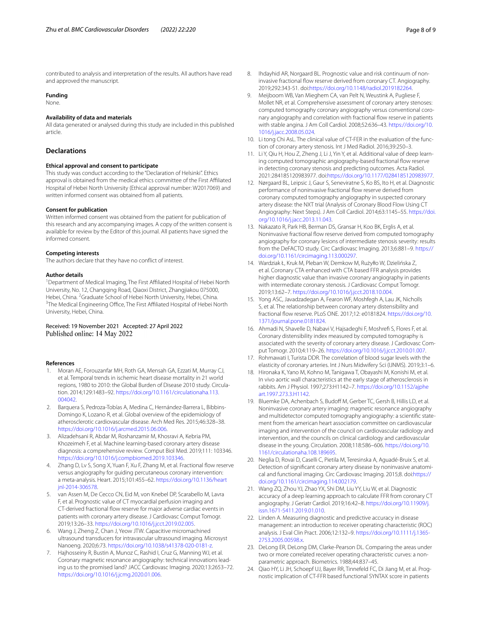contributed to analysis and interpretation of the results. All authors have read and approved the manuscript.

#### **Funding**

None.

#### **Availability of data and materials**

All data generated or analysed during this study are included in this published article.

#### **Declarations**

#### **Ethical approval and consent to participate**

This study was conduct according to the "Declaration of Helsinki". Ethics approval is obtained from the medical ethics committee of the First Afliated Hospital of Hebei North University (Ethical approval number: W2017069) and written informed consent was obtained from all patients.

#### **Consent for publication**

Written informed consent was obtained from the patient for publication of this research and any accompanying images. A copy of the written consent is available for review by the Editor of this journal. All patients have signed the informed consent.

#### **Competing interests**

The authors declare that they have no confict of interest.

#### **Author details**

<sup>1</sup> Department of Medical Imaging, The First Affiliated Hospital of Hebei North University, No. 12, Changqing Road, Qiaoxi District, Zhangjiakou 075000, Hebei, China. <sup>2</sup>Graduate School of Hebei North University, Hebei, China.<br><sup>3</sup>The Medical Engineering Office The First Affiliated Hespital of Hebei Ne <sup>3</sup>The Medical Engineering Office, The First Affiliated Hospital of Hebei North University, Hebei, China.

#### Received: 19 November 2021 Accepted: 27 April 2022 Published online: 14 May 2022

#### **References**

- <span id="page-7-0"></span>1. Moran AE, Forouzanfar MH, Roth GA, Mensah GA, Ezzati M, Murray CJ, et al. Temporal trends in ischemic heart disease mortality in 21 world regions, 1980 to 2010: the Global Burden of Disease 2010 study. Circula‑ tion. 2014;129:1483–92. [https://doi.org/10.1161/circulationaha.113.](https://doi.org/10.1161/circulationaha.113.004042) [004042.](https://doi.org/10.1161/circulationaha.113.004042)
- <span id="page-7-1"></span>2. Barquera S, Pedroza-Tobías A, Medina C, Hernández-Barrera L, Bibbins-Domingo K, Lozano R, et al. Global overview of the epidemiology of atherosclerotic cardiovascular disease. Arch Med Res. 2015;46:328–38. [https://doi.org/10.1016/j.arcmed.2015.06.006.](https://doi.org/10.1016/j.arcmed.2015.06.006)
- <span id="page-7-2"></span>3. Alizadehsani R, Abdar M, Roshanzamir M, Khosravi A, Kebria PM, Khozeimeh F, et al. Machine learning-based coronary artery disease diagnosis: a comprehensive review. Comput Biol Med. 2019;111: 103346. [https://doi.org/10.1016/j.compbiomed.2019.103346.](https://doi.org/10.1016/j.compbiomed.2019.103346)
- <span id="page-7-3"></span>4. Zhang D, Lv S, Song X, Yuan F, Xu F, Zhang M, et al. Fractional fow reserve versus angiography for guiding percutaneous coronary intervention: a meta-analysis. Heart. 2015;101:455–62. [https://doi.org/10.1136/heart](https://doi.org/10.1136/heartjnl-2014-306578) [jnl-2014-306578.](https://doi.org/10.1136/heartjnl-2014-306578)
- <span id="page-7-4"></span>van Assen M, De Cecco CN, Eid M, von Knebel DP, Scarabello M, Lavra F, et al. Prognostic value of CT myocardial perfusion imaging and CT-derived fractional flow reserve for major adverse cardiac events in patients with coronary artery disease. J Cardiovasc Comput Tomogr. 2019;13:26–33. [https://doi.org/10.1016/j.jcct.2019.02.005.](https://doi.org/10.1016/j.jcct.2019.02.005)
- 6. Wang J, Zheng Z, Chan J, Yeow JTW. Capacitive micromachined ultrasound transducers for intravascular ultrasound imaging. Microsyst Nanoeng. 2020;6:73. [https://doi.org/10.1038/s41378-020-0181-z.](https://doi.org/10.1038/s41378-020-0181-z)
- <span id="page-7-5"></span>Hajhosseiny R, Bustin A, Munoz C, Rashid I, Cruz G, Manning WJ, et al. Coronary magnetic resonance angiography: technical innovations lead‑ ing us to the promised land? JACC Cardiovasc Imaging. 2020;13:2653–72. <https://doi.org/10.1016/j.jcmg.2020.01.006>.
- <span id="page-7-6"></span>8. Ihdayhid AR, Norgaard BL. Prognostic value and risk continuum of noninvasive fractional flow reserve derived from coronary CT. Angiography. 2019;292:343-51. doi[:https://doi.org/10.1148/radiol.2019182264.](https://doi.org/10.1148/radiol.2019182264)
- 9. Meijboom WB, Van Mieghem CA, van Pelt N, Weustink A, Pugliese F, Mollet NR, et al. Comprehensive assessment of coronary artery stenoses: computed tomography coronary angiography versus conventional coronary angiography and correlation with fractional flow reserve in patients with stable angina. J Am Coll Cardiol. 2008;52:636–43. [https://doi.org/10.](https://doi.org/10.1016/j.jacc.2008.05.024) [1016/j.jacc.2008.05.024](https://doi.org/10.1016/j.jacc.2008.05.024).
- <span id="page-7-7"></span>10. Li tong Chi AsL. The clinical value of CT-FER in the evaluation of the function of coronary artery stenosis. Int J Med Radiol. 2016;39:250–3.
- <span id="page-7-8"></span>11. Li Y, Qiu H, Hou Z, Zheng J, Li J, Yin Y, et al. Additional value of deep learning computed tomographic angiography-based fractional flow reserve in detecting coronary stenosis and predicting outcomes. Acta Radiol. 2021:284185120983977. doi[:https://doi.org/10.1177/0284185120983977.](https://doi.org/10.1177/0284185120983977)
- 12. Nørgaard BL, Leipsic J, Gaur S, Seneviratne S, Ko BS, Ito H, et al. Diagnostic performance of noninvasive fractional flow reserve derived from coronary computed tomography angiography in suspected coronary artery disease: the NXT trial (Analysis of Coronary Blood Flow Using CT Angiography: Next Steps). J Am Coll Cardiol. 2014;63:1145–55. [https://doi.](https://doi.org/10.1016/j.jacc.2013.11.043) [org/10.1016/j.jacc.2013.11.043.](https://doi.org/10.1016/j.jacc.2013.11.043)
- 13. Nakazato R, Park HB, Berman DS, Gransar H, Koo BK, Erglis A, et al. Noninvasive fractional flow reserve derived from computed tomography angiography for coronary lesions of intermediate stenosis severity: results from the DeFACTO study. Circ Cardiovasc Imaging. 2013;6:881–9. [https://](https://doi.org/10.1161/circimaging.113.000297) [doi.org/10.1161/circimaging.113.000297](https://doi.org/10.1161/circimaging.113.000297).
- <span id="page-7-9"></span>14. Wardziak Ł, Kruk M, Pleban W, Demkow M, Rużyłło W, Dzielińska Z, et al. Coronary CTA enhanced with CTA based FFR analysis provides higher diagnostic value than invasive coronary angiography in patients with intermediate coronary stenosis. J Cardiovasc Comput Tomogr. 2019;13:62–7. <https://doi.org/10.1016/j.jcct.2018.10.004>.
- <span id="page-7-10"></span>15. Yong ASC, Javadzadegan A, Fearon WF, Moshfegh A, Lau JK, Nicholls S, et al. The relationship between coronary artery distensibility and fractional fow reserve. PLoS ONE. 2017;12: e0181824. [https://doi.org/10.](https://doi.org/10.1371/journal.pone.0181824) [1371/journal.pone.0181824.](https://doi.org/10.1371/journal.pone.0181824)
- <span id="page-7-11"></span>16. Ahmadi N, Shavelle D, Nabavi V, Hajsadeghi F, Moshref S, Flores F, et al. Coronary distensibility index measured by computed tomography is associated with the severity of coronary artery disease. J Cardiovasc Comput Tomogr. 2010;4:119–26. [https://doi.org/10.1016/j.jcct.2010.01.007.](https://doi.org/10.1016/j.jcct.2010.01.007)
- <span id="page-7-12"></span>17. Rohmawati I, Turista DDR. The correlation of blood sugar levels with the elasticity of coronary arteries. Int J Nurs Midwifery Sci (IJNMS). 2019;3:1–6.
- <span id="page-7-13"></span>18. Hironaka K, Yano M, Kohno M, Tanigawa T, Obayashi M, Konishi M, et al. In vivo aortic wall characteristics at the early stage of atherosclerosis in rabbits. Am J Physiol. 1997;273:H1142–7. [https://doi.org/10.1152/ajphe](https://doi.org/10.1152/ajpheart.1997.273.3.H1142) [art.1997.273.3.H1142.](https://doi.org/10.1152/ajpheart.1997.273.3.H1142)
- <span id="page-7-14"></span>19. Bluemke DA, Achenbach S, Budoff M, Gerber TC, Gersh B, Hillis LD, et al. Noninvasive coronary artery imaging: magnetic resonance angiography and multidetector computed tomography angiography: a scientific statement from the american heart association committee on cardiovascular imaging and intervention of the council on cardiovascular radiology and intervention, and the councils on clinical cardiology and cardiovascular disease in the young. Circulation. 2008;118:586–606. [https://doi.org/10.](https://doi.org/10.1161/circulationaha.108.189695) [1161/circulationaha.108.189695.](https://doi.org/10.1161/circulationaha.108.189695)
- <span id="page-7-15"></span>20. Neglia D, Rovai D, Caselli C, Pietila M, Teresinska A, Aguadé-Bruix S, et al. Detection of significant coronary artery disease by noninvasive anatomical and functional imaging. Circ Cardiovasc Imaging. 2015;8. doi:[https://](https://doi.org/10.1161/circimaging.114.002179) [doi.org/10.1161/circimaging.114.002179](https://doi.org/10.1161/circimaging.114.002179).
- <span id="page-7-16"></span>21. Wang ZQ, Zhou YJ, Zhao YX, Shi DM, Liu YY, Liu W, et al. Diagnostic accuracy of a deep learning approach to calculate FFR from coronary CT angiography. J Geriatr Cardiol. 2019;16:42–8. [https://doi.org/10.11909/j.](https://doi.org/10.11909/j.issn.1671-5411.2019.01.010) [issn.1671-5411.2019.01.010.](https://doi.org/10.11909/j.issn.1671-5411.2019.01.010)
- <span id="page-7-17"></span>22. Linden A. Measuring diagnostic and predictive accuracy in disease management: an introduction to receiver operating characteristic (ROC) analysis. J Eval Clin Pract. 2006;12:132–9. [https://doi.org/10.1111/j.1365-](https://doi.org/10.1111/j.1365-2753.2005.00598.x) [2753.2005.00598.x](https://doi.org/10.1111/j.1365-2753.2005.00598.x).
- <span id="page-7-18"></span>23. DeLong ER, DeLong DM, Clarke-Pearson DL. Comparing the areas under two or more correlated receiver operating characteristic curves: a nonparametric approach. Biometrics. 1988;44:837–45.
- <span id="page-7-19"></span>24. Qiao HY, Li JH, Schoepf UJ, Bayer RR, Tinnefeld FC, Di Jiang M, et al. Prognostic implication of CT-FFR based functional SYNTAX score in patients